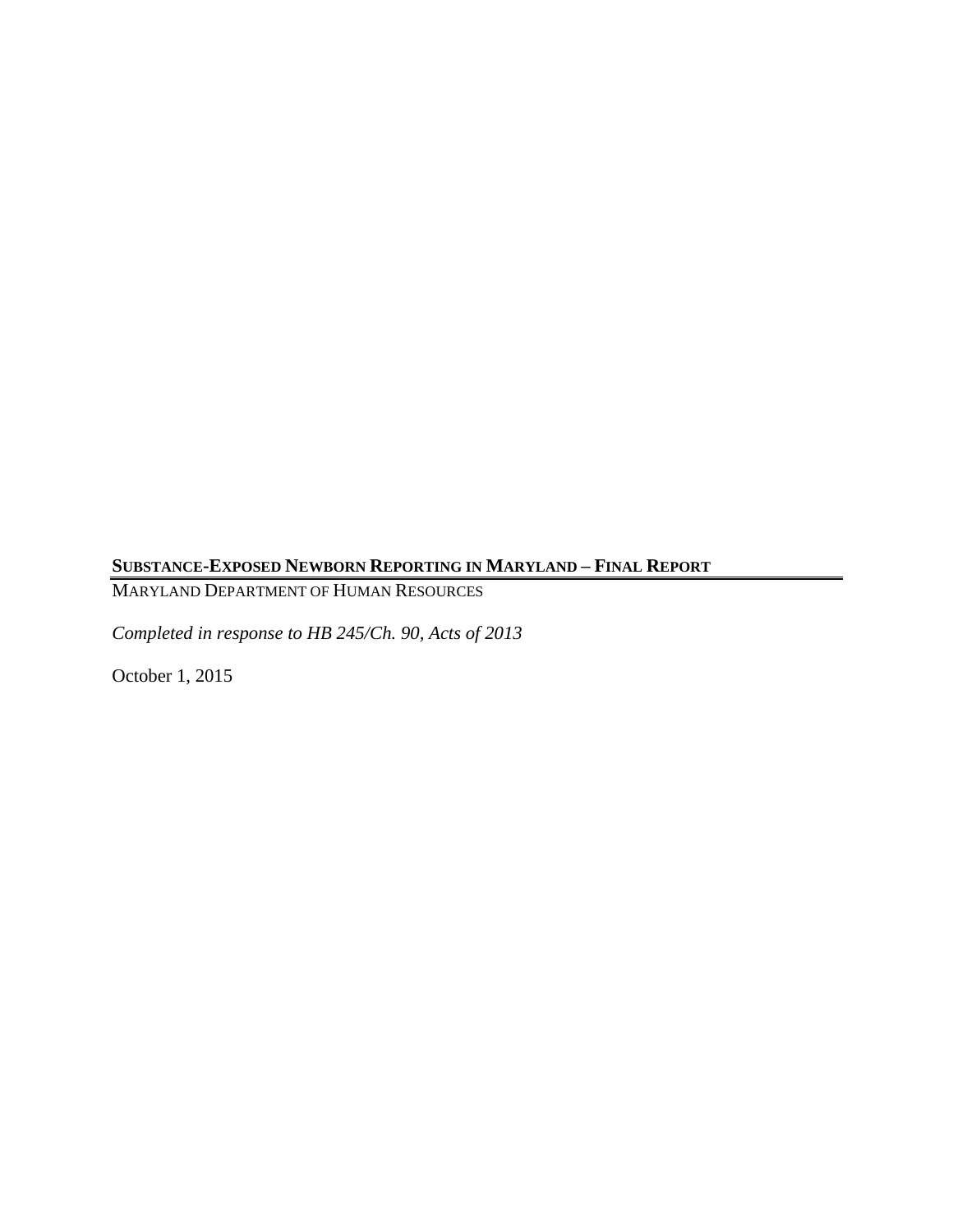# **SUBSTANCE-EXPOSED NEWBORN REPORTING IN MARYLAND – FINAL REPORT**

MARYLAND DEPARTMENT OF HUMAN RESOURCES

*Completed in response to HB 245/Ch. 90, Acts of 2013*

October 1, 2015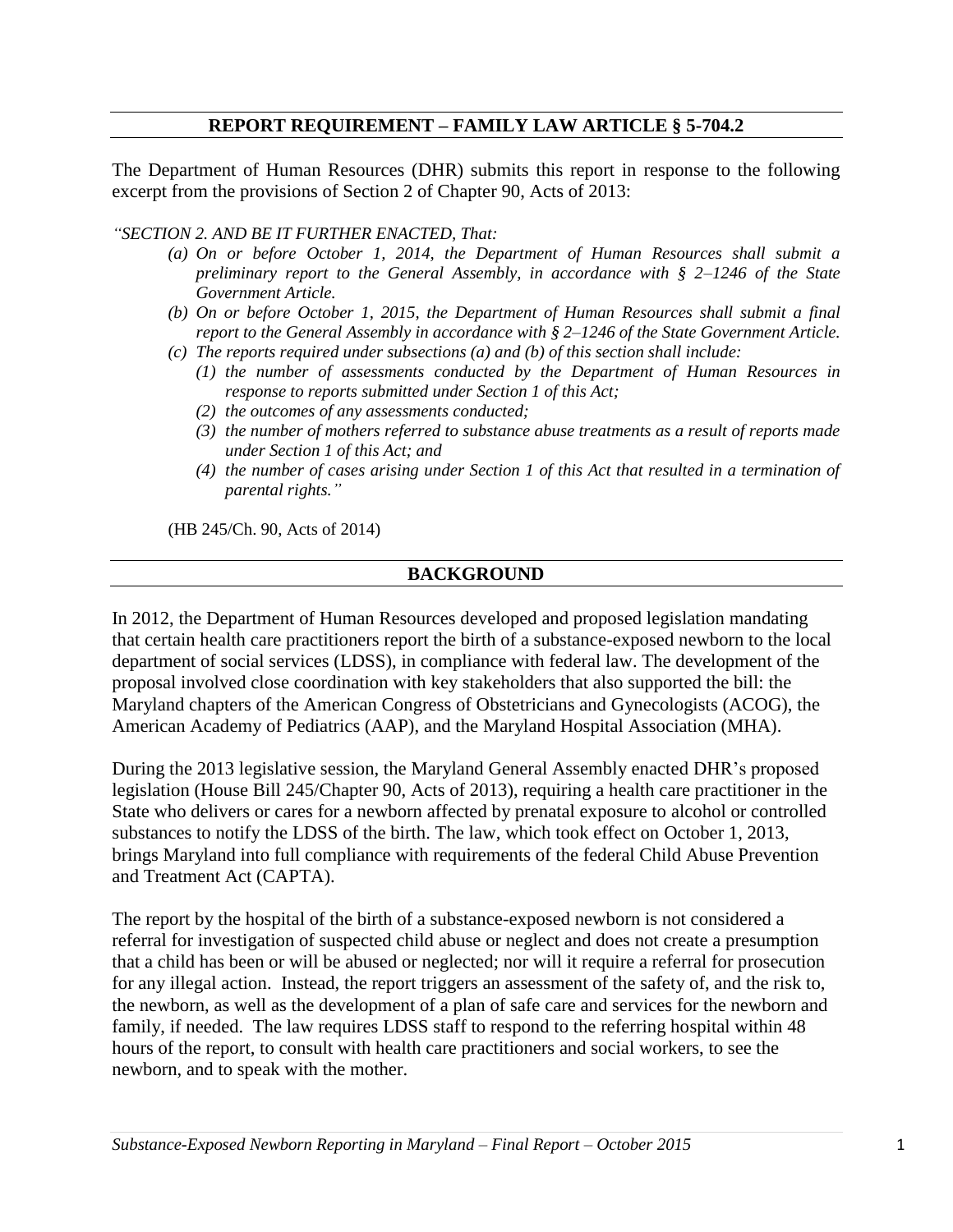## **REPORT REQUIREMENT – FAMILY LAW ARTICLE § 5-704.2**

The Department of Human Resources (DHR) submits this report in response to the following excerpt from the provisions of Section 2 of Chapter 90, Acts of 2013:

*"SECTION 2. AND BE IT FURTHER ENACTED, That:* 

- *(a) On or before October 1, 2014, the Department of Human Resources shall submit a preliminary report to the General Assembly, in accordance with § 2–1246 of the State Government Article.*
- *(b) On or before October 1, 2015, the Department of Human Resources shall submit a final report to the General Assembly in accordance with § 2–1246 of the State Government Article.*
- *(c) The reports required under subsections (a) and (b) of this section shall include:* 
	- *(1) the number of assessments conducted by the Department of Human Resources in response to reports submitted under Section 1 of this Act;*
	- *(2) the outcomes of any assessments conducted;*
	- *(3) the number of mothers referred to substance abuse treatments as a result of reports made under Section 1 of this Act; and*
	- *(4) the number of cases arising under Section 1 of this Act that resulted in a termination of parental rights."*

(HB 245/Ch. 90, Acts of 2014)

#### **BACKGROUND**

In 2012, the Department of Human Resources developed and proposed legislation mandating that certain health care practitioners report the birth of a substance-exposed newborn to the local department of social services (LDSS), in compliance with federal law. The development of the proposal involved close coordination with key stakeholders that also supported the bill: the Maryland chapters of the American Congress of Obstetricians and Gynecologists (ACOG), the American Academy of Pediatrics (AAP), and the Maryland Hospital Association (MHA).

During the 2013 legislative session, the Maryland General Assembly enacted DHR's proposed legislation (House Bill 245/Chapter 90, Acts of 2013), requiring a health care practitioner in the State who delivers or cares for a newborn affected by prenatal exposure to alcohol or controlled substances to notify the LDSS of the birth. The law, which took effect on October 1, 2013, brings Maryland into full compliance with requirements of the federal Child Abuse Prevention and Treatment Act (CAPTA).

The report by the hospital of the birth of a substance-exposed newborn is not considered a referral for investigation of suspected child abuse or neglect and does not create a presumption that a child has been or will be abused or neglected; nor will it require a referral for prosecution for any illegal action. Instead, the report triggers an assessment of the safety of, and the risk to, the newborn, as well as the development of a plan of safe care and services for the newborn and family, if needed. The law requires LDSS staff to respond to the referring hospital within 48 hours of the report, to consult with health care practitioners and social workers, to see the newborn, and to speak with the mother.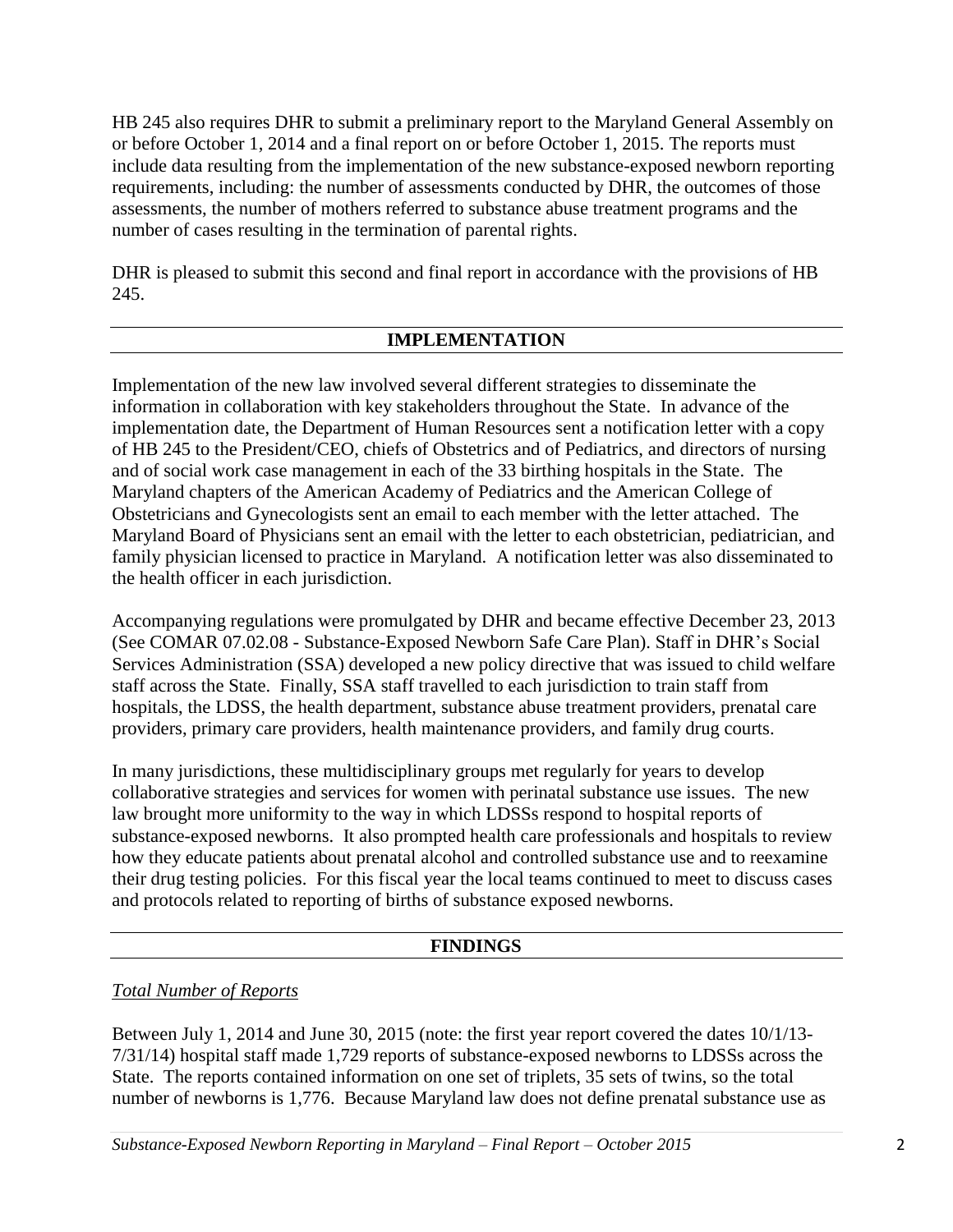HB 245 also requires DHR to submit a preliminary report to the Maryland General Assembly on or before October 1, 2014 and a final report on or before October 1, 2015. The reports must include data resulting from the implementation of the new substance-exposed newborn reporting requirements, including: the number of assessments conducted by DHR, the outcomes of those assessments, the number of mothers referred to substance abuse treatment programs and the number of cases resulting in the termination of parental rights.

DHR is pleased to submit this second and final report in accordance with the provisions of HB 245.

## **IMPLEMENTATION**

Implementation of the new law involved several different strategies to disseminate the information in collaboration with key stakeholders throughout the State. In advance of the implementation date, the Department of Human Resources sent a notification letter with a copy of HB 245 to the President/CEO, chiefs of Obstetrics and of Pediatrics, and directors of nursing and of social work case management in each of the 33 birthing hospitals in the State. The Maryland chapters of the American Academy of Pediatrics and the American College of Obstetricians and Gynecologists sent an email to each member with the letter attached. The Maryland Board of Physicians sent an email with the letter to each obstetrician, pediatrician, and family physician licensed to practice in Maryland. A notification letter was also disseminated to the health officer in each jurisdiction.

Accompanying regulations were promulgated by DHR and became effective December 23, 2013 (See COMAR 07.02.08 - Substance-Exposed Newborn Safe Care Plan). Staff in DHR's Social Services Administration (SSA) developed a new policy directive that was issued to child welfare staff across the State. Finally, SSA staff travelled to each jurisdiction to train staff from hospitals, the LDSS, the health department, substance abuse treatment providers, prenatal care providers, primary care providers, health maintenance providers, and family drug courts.

In many jurisdictions, these multidisciplinary groups met regularly for years to develop collaborative strategies and services for women with perinatal substance use issues. The new law brought more uniformity to the way in which LDSSs respond to hospital reports of substance-exposed newborns. It also prompted health care professionals and hospitals to review how they educate patients about prenatal alcohol and controlled substance use and to reexamine their drug testing policies. For this fiscal year the local teams continued to meet to discuss cases and protocols related to reporting of births of substance exposed newborns.

### **FINDINGS**

## *Total Number of Reports*

Between July 1, 2014 and June 30, 2015 (note: the first year report covered the dates 10/1/13- 7/31/14) hospital staff made 1,729 reports of substance-exposed newborns to LDSSs across the State. The reports contained information on one set of triplets, 35 sets of twins, so the total number of newborns is 1,776. Because Maryland law does not define prenatal substance use as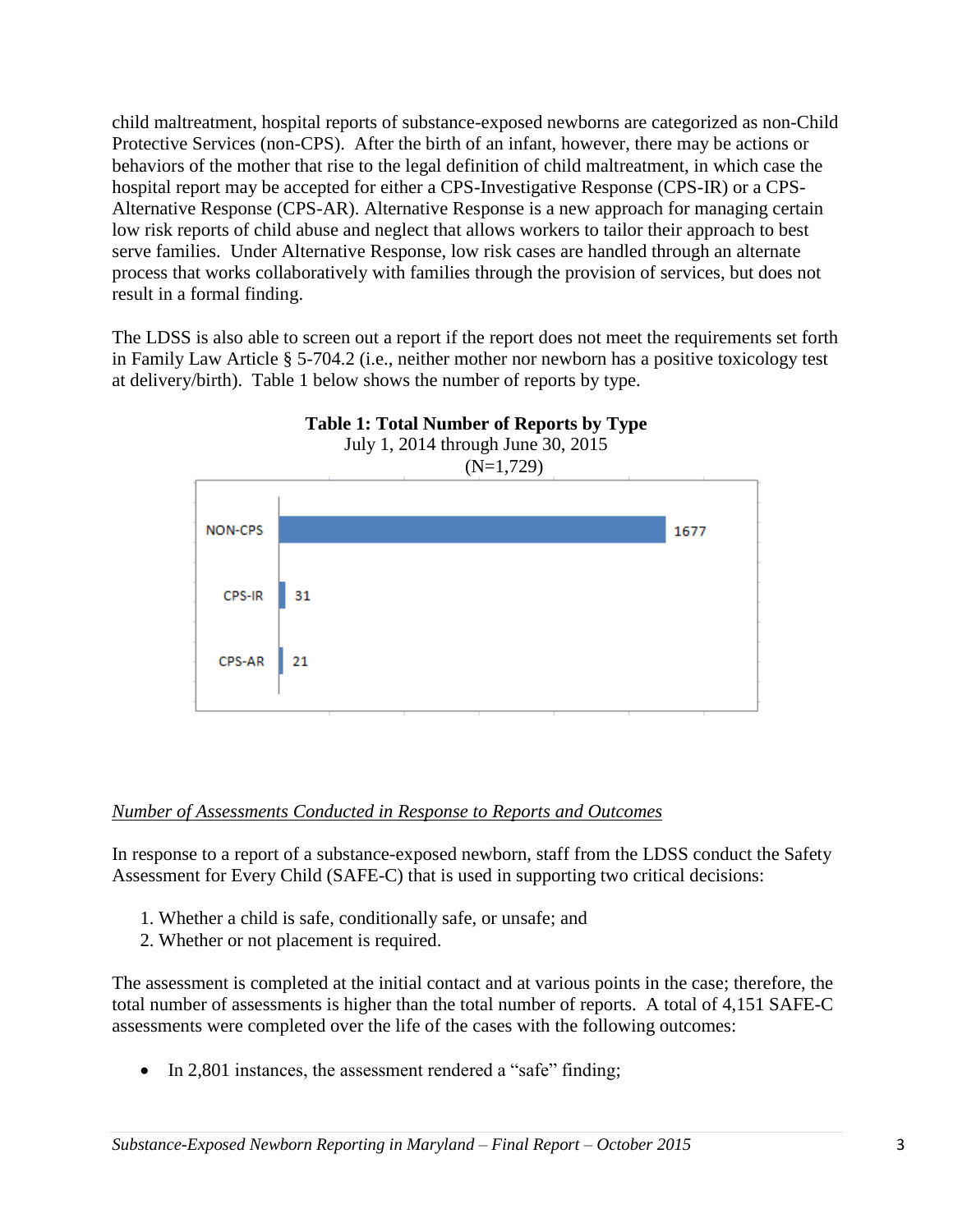child maltreatment, hospital reports of substance-exposed newborns are categorized as non-Child Protective Services (non-CPS). After the birth of an infant, however, there may be actions or behaviors of the mother that rise to the legal definition of child maltreatment, in which case the hospital report may be accepted for either a CPS-Investigative Response (CPS-IR) or a CPS-Alternative Response (CPS-AR). Alternative Response is a new approach for managing certain low risk reports of child abuse and neglect that allows workers to tailor their approach to best serve families. Under Alternative Response, low risk cases are handled through an alternate process that works collaboratively with families through the provision of services, but does not result in a formal finding.

The LDSS is also able to screen out a report if the report does not meet the requirements set forth in Family Law Article § 5-704.2 (i.e., neither mother nor newborn has a positive toxicology test at delivery/birth). Table 1 below shows the number of reports by type.



### *Number of Assessments Conducted in Response to Reports and Outcomes*

In response to a report of a substance-exposed newborn, staff from the LDSS conduct the Safety Assessment for Every Child (SAFE-C) that is used in supporting two critical decisions:

- 1. Whether a child is safe, conditionally safe, or unsafe; and
- 2. Whether or not placement is required.

The assessment is completed at the initial contact and at various points in the case; therefore, the total number of assessments is higher than the total number of reports. A total of 4,151 SAFE-C assessments were completed over the life of the cases with the following outcomes:

• In 2,801 instances, the assessment rendered a "safe" finding;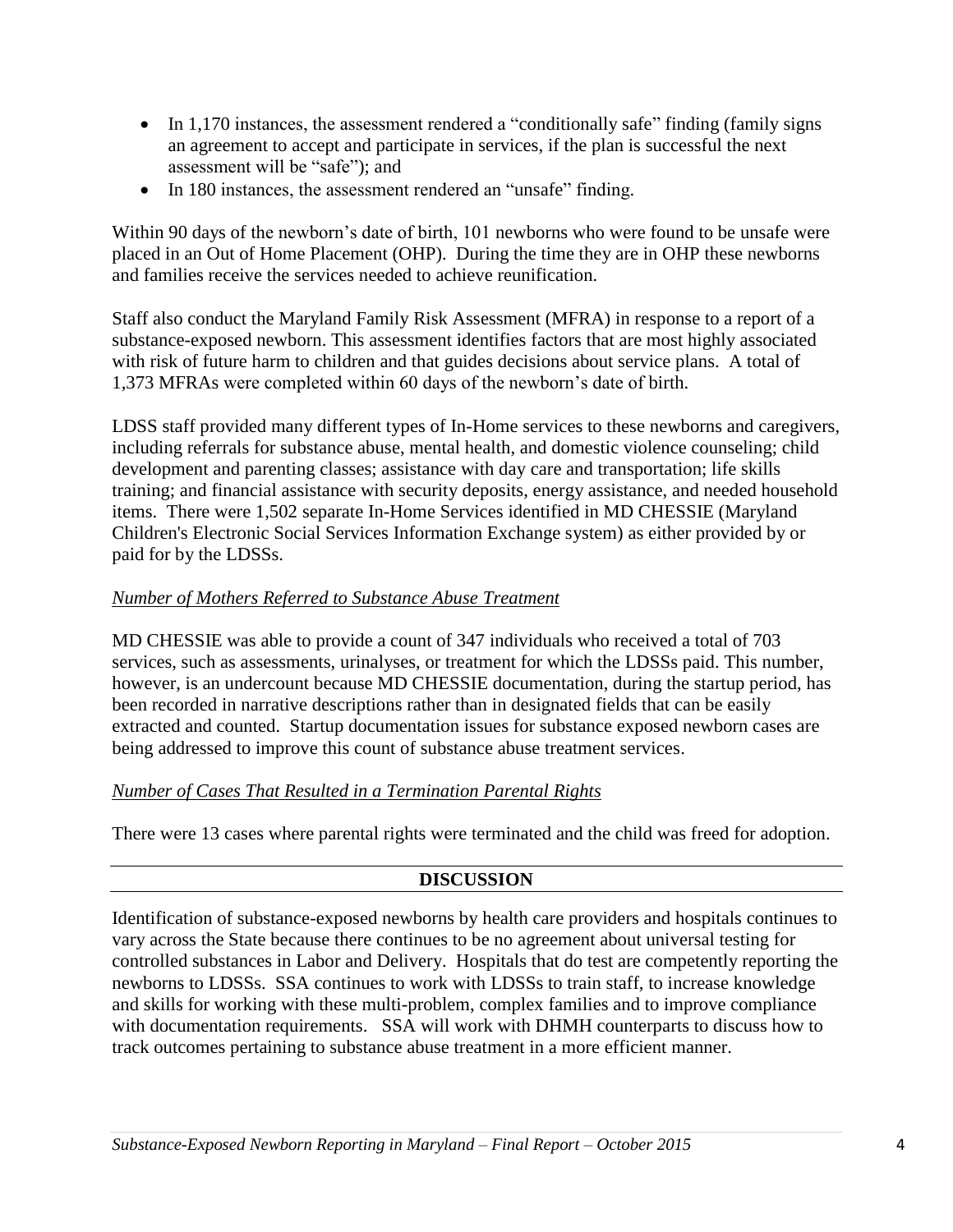- In 1,170 instances, the assessment rendered a "conditionally safe" finding (family signs an agreement to accept and participate in services, if the plan is successful the next assessment will be "safe"); and
- In 180 instances, the assessment rendered an "unsafe" finding.

Within 90 days of the newborn's date of birth, 101 newborns who were found to be unsafe were placed in an Out of Home Placement (OHP). During the time they are in OHP these newborns and families receive the services needed to achieve reunification.

Staff also conduct the Maryland Family Risk Assessment (MFRA) in response to a report of a substance-exposed newborn. This assessment identifies factors that are most highly associated with risk of future harm to children and that guides decisions about service plans. A total of 1,373 MFRAs were completed within 60 days of the newborn's date of birth.

LDSS staff provided many different types of In-Home services to these newborns and caregivers, including referrals for substance abuse, mental health, and domestic violence counseling; child development and parenting classes; assistance with day care and transportation; life skills training; and financial assistance with security deposits, energy assistance, and needed household items. There were 1,502 separate In-Home Services identified in MD CHESSIE (Maryland Children's Electronic Social Services Information Exchange system) as either provided by or paid for by the LDSSs.

## *Number of Mothers Referred to Substance Abuse Treatment*

MD CHESSIE was able to provide a count of 347 individuals who received a total of 703 services, such as assessments, urinalyses, or treatment for which the LDSSs paid. This number, however, is an undercount because MD CHESSIE documentation, during the startup period, has been recorded in narrative descriptions rather than in designated fields that can be easily extracted and counted. Startup documentation issues for substance exposed newborn cases are being addressed to improve this count of substance abuse treatment services.

### *Number of Cases That Resulted in a Termination Parental Rights*

There were 13 cases where parental rights were terminated and the child was freed for adoption.

## **DISCUSSION**

Identification of substance-exposed newborns by health care providers and hospitals continues to vary across the State because there continues to be no agreement about universal testing for controlled substances in Labor and Delivery. Hospitals that do test are competently reporting the newborns to LDSSs. SSA continues to work with LDSSs to train staff, to increase knowledge and skills for working with these multi-problem, complex families and to improve compliance with documentation requirements. SSA will work with DHMH counterparts to discuss how to track outcomes pertaining to substance abuse treatment in a more efficient manner.